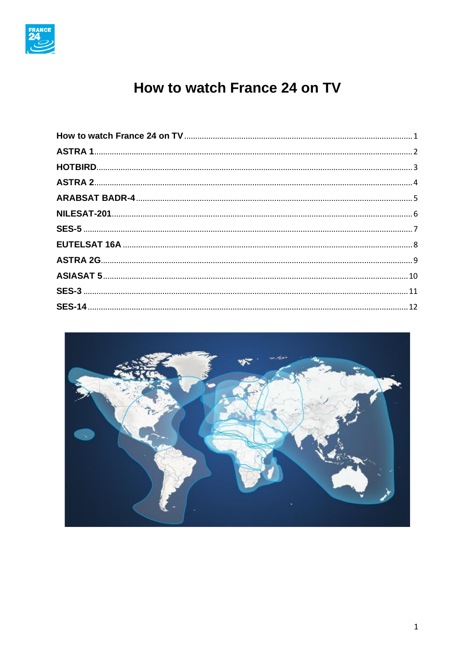

# How to watch France 24 on TV

<span id="page-0-0"></span>

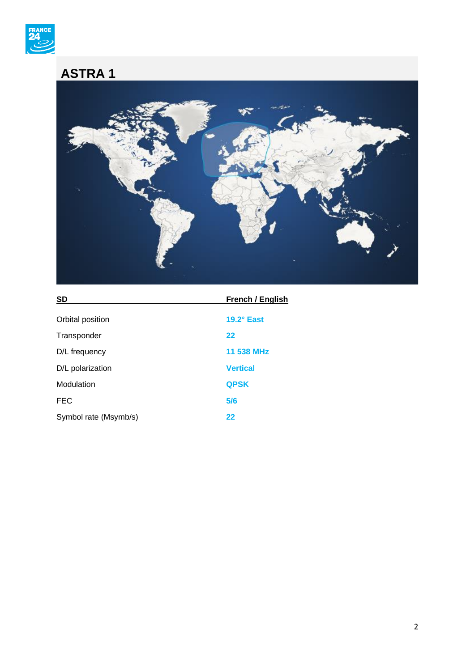

## <span id="page-1-0"></span>**ASTRA 1**



| <b>SD</b>             | French / English  |
|-----------------------|-------------------|
| Orbital position      | $19.2^\circ$ East |
| Transponder           | 22                |
| D/L frequency         | 11 538 MHz        |
| D/L polarization      | <b>Vertical</b>   |
| Modulation            | <b>QPSK</b>       |
| <b>FEC</b>            | 5/6               |
| Symbol rate (Msymb/s) | 22                |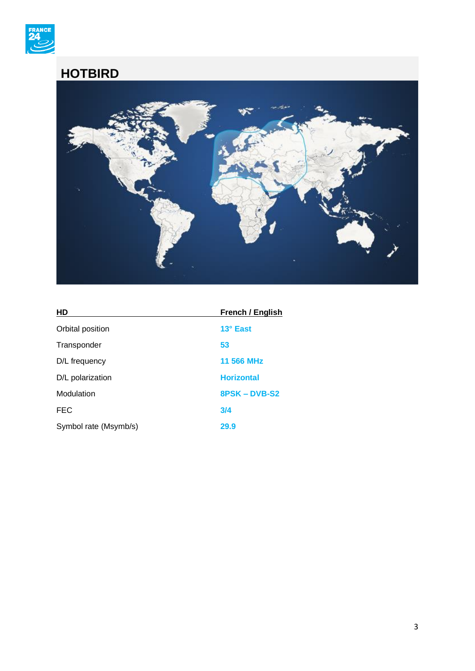

### <span id="page-2-0"></span>**HOTBIRD**



| HD                    | French / English  |
|-----------------------|-------------------|
| Orbital position      | 13° East          |
| Transponder           | 53                |
| D/L frequency         | 11 566 MHz        |
| D/L polarization      | <b>Horizontal</b> |
| Modulation            | 8PSK-DVB-S2       |
| <b>FEC</b>            | 3/4               |
| Symbol rate (Msymb/s) | 29.9              |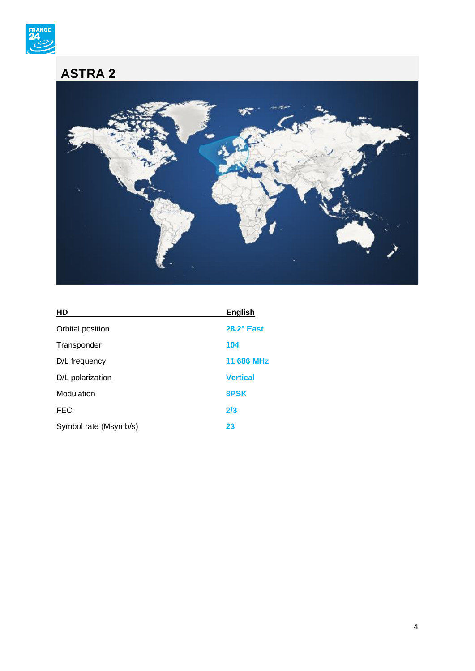

## <span id="page-3-0"></span>**ASTRA 2**



| HD                    | <b>English</b>    |
|-----------------------|-------------------|
| Orbital position      | $28.2^\circ$ East |
| Transponder           | 104               |
| D/L frequency         | 11 686 MHz        |
| D/L polarization      | <b>Vertical</b>   |
| Modulation            | 8PSK              |
| <b>FEC</b>            | 2/3               |
| Symbol rate (Msymb/s) | 23                |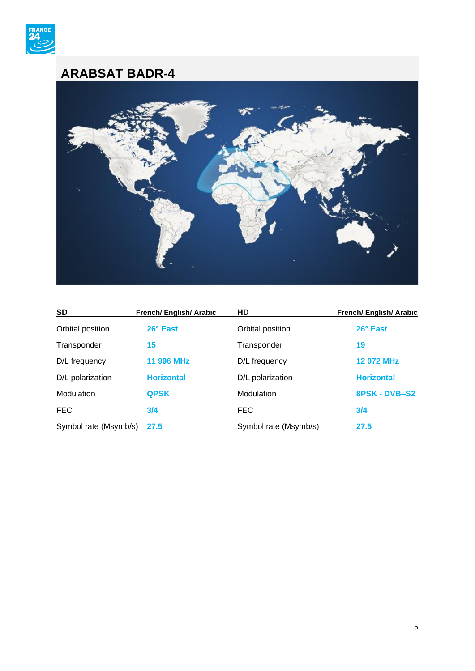

#### <span id="page-4-0"></span>**ARABSAT BADR-4**



| <b>SD</b>             | <b>French/ English/ Arabic</b> | <b>HD</b>             | French/ English/ Arabic |
|-----------------------|--------------------------------|-----------------------|-------------------------|
| Orbital position      | 26° East                       | Orbital position      | 26° East                |
| Transponder           | 15                             | Transponder           | 19                      |
| D/L frequency         | 11 996 MHz                     | D/L frequency         | 12 072 MHz              |
| D/L polarization      | <b>Horizontal</b>              | D/L polarization      | <b>Horizontal</b>       |
| Modulation            | <b>QPSK</b>                    | Modulation            | 8PSK - DVB-S2           |
| <b>FEC</b>            | 3/4                            | <b>FEC</b>            | 3/4                     |
| Symbol rate (Msymb/s) | 27.5                           | Symbol rate (Msymb/s) | 27.5                    |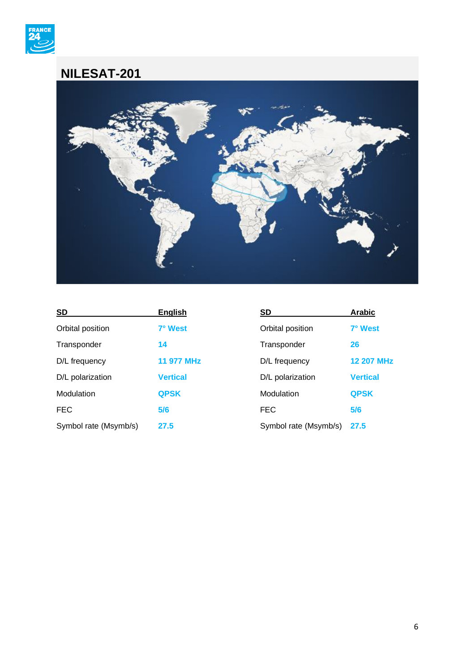

#### <span id="page-5-0"></span>**NILESAT-201**



| <b>SD</b>             | <b>English</b>  | <b>SD</b>             | <b>Arabic</b>     |
|-----------------------|-----------------|-----------------------|-------------------|
| Orbital position      | 7° West         | Orbital position      | 7° West           |
| Transponder           | 14              | Transponder           | 26                |
| D/L frequency         | 11 977 MHz      | D/L frequency         | <b>12 207 MHz</b> |
| D/L polarization      | <b>Vertical</b> | D/L polarization      | <b>Vertical</b>   |
| Modulation            | <b>QPSK</b>     | Modulation            | <b>QPSK</b>       |
| <b>FEC</b>            | 5/6             | <b>FEC</b>            | 5/6               |
| Symbol rate (Msymb/s) | 27.5            | Symbol rate (Msymb/s) | 27.5              |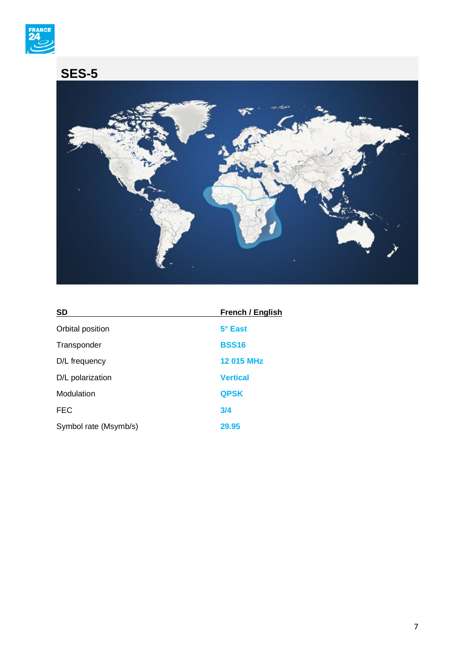

## <span id="page-6-0"></span>**SES-5**



| <b>SD</b>             | French / English |
|-----------------------|------------------|
| Orbital position      | 5° East          |
| Transponder           | <b>BSS16</b>     |
| D/L frequency         | 12 015 MHz       |
| D/L polarization      | <b>Vertical</b>  |
| Modulation            | <b>QPSK</b>      |
| <b>FEC</b>            | 3/4              |
| Symbol rate (Msymb/s) | 29.95            |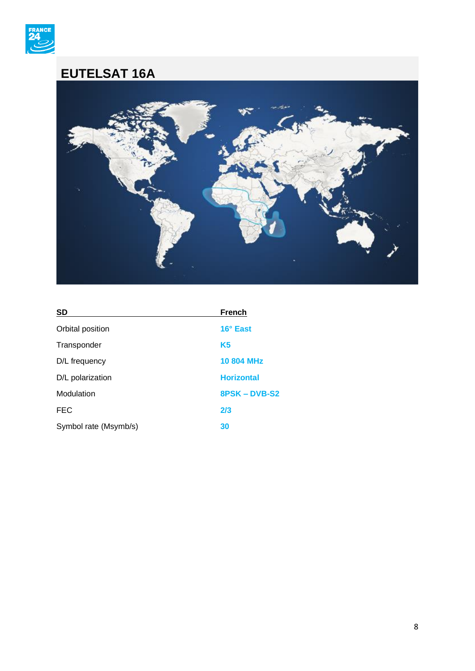

#### <span id="page-7-0"></span>**EUTELSAT 16A**



| <b>SD</b>             | <b>French</b>     |
|-----------------------|-------------------|
| Orbital position      | 16° East          |
| Transponder           | K <sub>5</sub>    |
| D/L frequency         | <b>10 804 MHz</b> |
| D/L polarization      | <b>Horizontal</b> |
| Modulation            | 8PSK-DVB-S2       |
| <b>FEC</b>            | 2/3               |
| Symbol rate (Msymb/s) | 30                |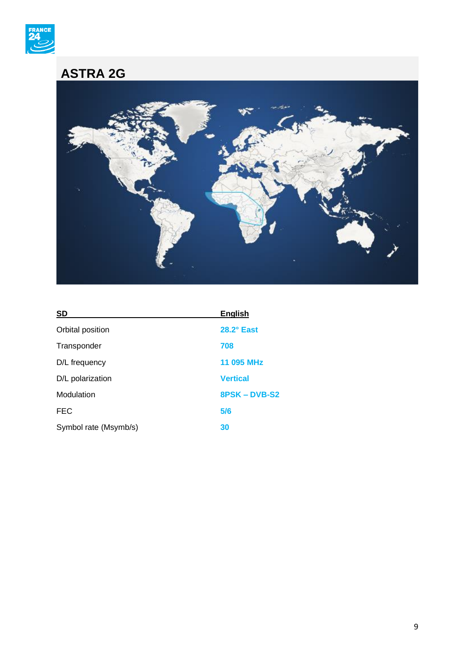

### <span id="page-8-0"></span>**ASTRA 2G**



| <b>SD</b>             | <b>English</b>    |
|-----------------------|-------------------|
| Orbital position      | $28.2^\circ$ East |
| Transponder           | 708               |
| D/L frequency         | 11 095 MHz        |
| D/L polarization      | <b>Vertical</b>   |
| Modulation            | 8PSK-DVB-S2       |
| <b>FEC</b>            | 5/6               |
| Symbol rate (Msymb/s) | 30                |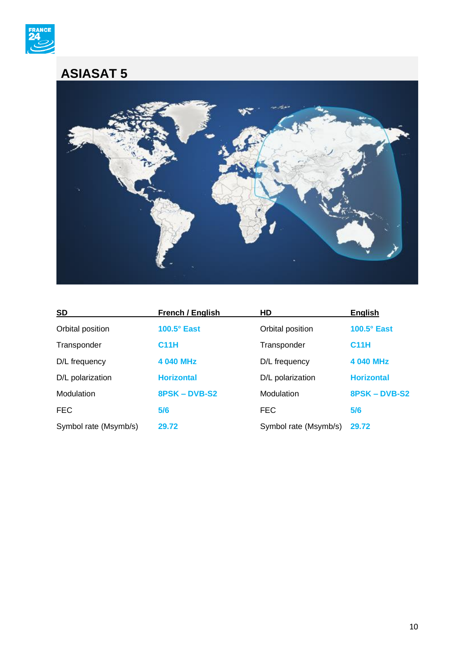

#### <span id="page-9-0"></span>**ASIASAT 5**



| <b>SD</b>             | French / English   | HD                    | <b>English</b>     |
|-----------------------|--------------------|-----------------------|--------------------|
| Orbital position      | $100.5^\circ$ East | Orbital position      | $100.5^\circ$ East |
| Transponder           | <b>C11H</b>        | Transponder           | <b>C11H</b>        |
| D/L frequency         | 4 040 MHz          | D/L frequency         | 4 040 MHz          |
| D/L polarization      | <b>Horizontal</b>  | D/L polarization      | <b>Horizontal</b>  |
| Modulation            | 8PSK-DVB-S2        | Modulation            | 8PSK-DVB-S2        |
| <b>FEC</b>            | 5/6                | <b>FEC</b>            | 5/6                |
| Symbol rate (Msymb/s) | 29.72              | Symbol rate (Msymb/s) | 29.72              |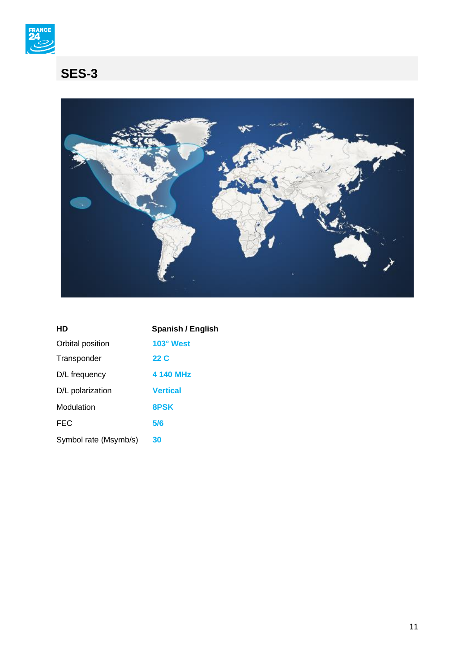

# <span id="page-10-0"></span>**SES-3**



| HD                    | <b>Spanish / English</b> |
|-----------------------|--------------------------|
| Orbital position      | 103° West                |
| Transponder           | 22 C                     |
| D/L frequency         | 4 140 MHz                |
| D/L polarization      | <b>Vertical</b>          |
| Modulation            | 8PSK                     |
| <b>FEC</b>            | 5/6                      |
| Symbol rate (Msymb/s) | 30                       |